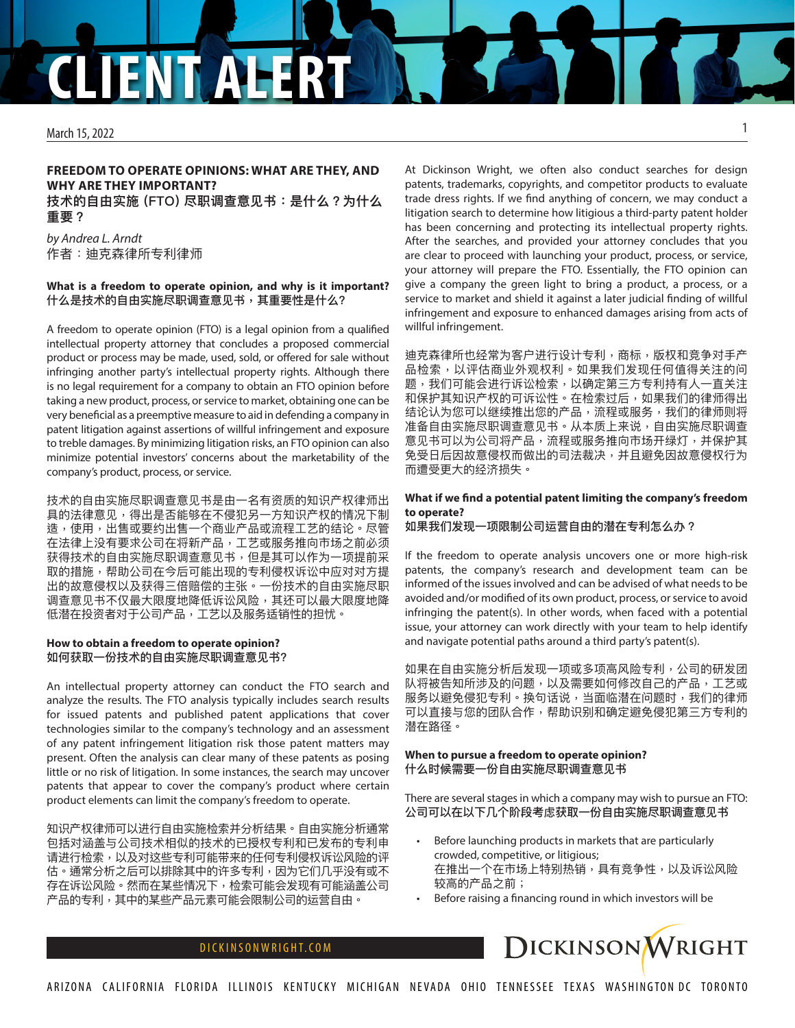# **CLIENT ALERT**

#### March 15, 2022

# **FREEDOM TO OPERATE OPINIONS: WHAT ARE THEY, AND WHY ARE THEY IMPORTANT? 技术的自由实施 (FTO) 尽职调查意见书:是什么?为什么 重要?**

*by Andrea L. Arndt* 作者:迪克森律所专利律师

## **What is a freedom to operate opinion, and why is it important?** 什么是技术的自由实施尽职调查意见书,其重要性是什么?

A freedom to operate opinion (FTO) is a legal opinion from a qualified intellectual property attorney that concludes a proposed commercial product or process may be made, used, sold, or offered for sale without infringing another party's intellectual property rights. Although there is no legal requirement for a company to obtain an FTO opinion before taking a new product, process, or service to market, obtaining one can be very beneficial as a preemptive measure to aid in defending a company in patent litigation against assertions of willful infringement and exposure to treble damages. By minimizing litigation risks, an FTO opinion can also minimize potential investors' concerns about the marketability of the company's product, process, or service.

技术的自由实施尽职调查意见书是由一名有资质的知识产权律师出 具的法律意见,得出是否能够在不侵犯另一方知识产权的情况下制 造,使用,出售或要约出售一个商业产品或流程工艺的结论。尽管 在法律上没有要求公司在将新产品,工艺或服务推向市场之前必须 获得技术的自由实施尽职调查意见书,但是其可以作为一项提前采 取的措施,帮助公司在今后可能出现的专利侵权诉讼中应对对方提 出的故意侵权以及获得三倍赔偿的主张。一份技术的自由实施尽职 调查意见书不仅最大限度地降低诉讼风险,其还可以最大限度地降 低潜在投资者对于公司产品,工艺以及服务适销性的担忧。

# **How to obtain a freedom to operate opinion?** 如何获取一份技术的自由实施尽职调查意见书?

An intellectual property attorney can conduct the FTO search and analyze the results. The FTO analysis typically includes search results for issued patents and published patent applications that cover technologies similar to the company's technology and an assessment of any patent infringement litigation risk those patent matters may present. Often the analysis can clear many of these patents as posing little or no risk of litigation. In some instances, the search may uncover patents that appear to cover the company's product where certain product elements can limit the company's freedom to operate.

知识产权律师可以进行自由实施检索并分析结果。自由实施分析通常 包括对涵盖与公司技术相似的技术的已授权专利和已发布的专利申 请进行检索,以及对这些专利可能带来的任何专利侵权诉讼风险的评 估。通常分析之后可以排除其中的许多专利,因为它们几乎没有或不 存在诉讼风险。然而在某些情况下,检索可能会发现有可能涵盖公司 产品的专利,其中的某些产品元素可能会限制公司的运营自由。

At Dickinson Wright, we often also conduct searches for design patents, trademarks, copyrights, and competitor products to evaluate trade dress rights. If we find anything of concern, we may conduct a litigation search to determine how litigious a third-party patent holder has been concerning and protecting its intellectual property rights. After the searches, and provided your attorney concludes that you are clear to proceed with launching your product, process, or service, your attorney will prepare the FTO. Essentially, the FTO opinion can give a company the green light to bring a product, a process, or a service to market and shield it against a later judicial finding of willful infringement and exposure to enhanced damages arising from acts of willful infringement.

迪克森律所也经常为客户进行设计专利,商标,版权和竞争对手产 品检索,以评估商业外观权利。如果我们发现任何值得关注的问 题,我们可能会进行诉讼检索,以确定第三方专利持有人一直关注 和保护其知识产权的可诉讼性。在检索过后,如果我们的律师得出 结论认为您可以继续推出您的产品,流程或服务,我们的律师则将 准备自由实施尽职调查意见书。从本质上来说,自由实施尽职调查 意见书可以为公司将产品,流程或服务推向市场开绿灯,并保护其 免受日后因故意侵权而做出的司法裁决,并且避免因故意侵权行为 而遭受更大的经济损失。

# **What if we find a potential patent limiting the company's freedom to operate?**

如果我们发现一项限制公司运营自由的潜在专利怎么办?

If the freedom to operate analysis uncovers one or more high-risk patents, the company's research and development team can be informed of the issues involved and can be advised of what needs to be avoided and/or modified of its own product, process, or service to avoid infringing the patent(s). In other words, when faced with a potential issue, your attorney can work directly with your team to help identify and navigate potential paths around a third party's patent(s).

如果在自由实施分析后发现一项或多项高风险专利,公司的研发团 队将被告知所涉及的问题,以及需要如何修改自己的产品,工艺或 服务以避免侵犯专利。换句话说,当面临潜在问题时,我们的律师 可以直接与您的团队合作,帮助识别和确定避免侵犯第三方专利的 潜在路径。

## **When to pursue a freedom to operate opinion?** 什么时候需要一份自由实施尽职调查意见书

There are several stages in which a company may wish to pursue an FTO: 公司可以在以下几个阶段考虑获取一份自由实施尽职调查意见书

- Before launching products in markets that are particularly crowded, competitive, or litigious; 在推出一个在市场上特别热销,具有竞争性,以及诉讼风险 较高的产品之前;
- Before raising a financing round in which investors will be